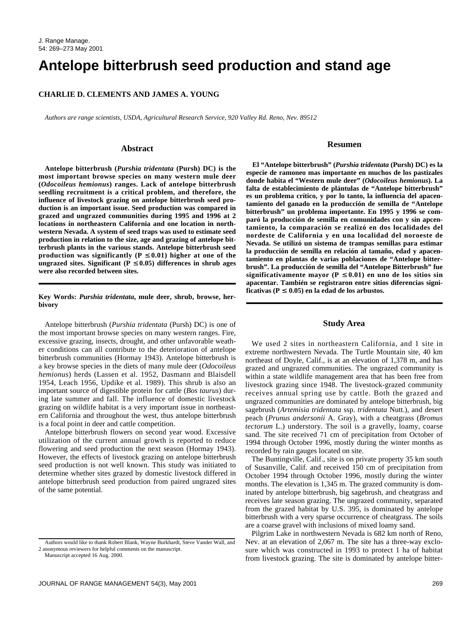# **Antelope bitterbrush seed production and stand age**

## **CHARLIE D. CLEMENTS AND JAMES A. YOUNG**

*Authors are range scientists, USDA, Agricultural Research Service, 920 Valley Rd. Reno, Nev. 89512*

#### **Abstract**

**Antelope bitterbrush (***Purshia tridentata* **(Pursh) DC) is the most important browse species on many western mule deer (***Odocoileus hemionus***) ranges. Lack of antelope bitterbrush seedling recruitment is a critical problem, and therefore, the influence of livestock grazing on antelope bitterbrush seed production is an important issue. Seed production was compared in grazed and ungrazed communities during 1995 and 1996 at 2 locations in northeastern California and one location in northwestern Nevada. A system of seed traps was used to estimate seed production in relation to the size, age and grazing of antelope bitterbrush plants in the various stands. Antelope bitterbrush seed production was significantly (** $P \le 0.01$ **) higher at one of the ungrazed sites. Significant (** $P \leq 0.05$ **) differences in shrub ages were also recorded between sites.** 

## **Key Words:** *Purshia tridentata***, mule deer, shrub, browse, herbivory**

Antelope bitterbrush (*Purshia tridentata* (Pursh) DC) is one of the most important browse species on many western ranges. Fire, excessive grazing, insects, drought, and other unfavorable weather conditions can all contribute to the deterioration of antelope bitterbrush communities (Hormay 1943). Antelope bitterbrush is a key browse species in the diets of many mule deer (*Odocoileus hemionus*) herds (Lassen et al. 1952, Dasmann and Blaisdell 1954, Leach 1956, Updike et al. 1989). This shrub is also an important source of digestible protein for cattle (*Bos taurus*) during late summer and fall. The influence of domestic livestock grazing on wildlife habitat is a very important issue in northeastern California and throughout the west, thus antelope bitterbrush is a focal point in deer and cattle competition.

Antelope bitterbrush flowers on second year wood. Excessive utilization of the current annual growth is reported to reduce flowering and seed production the next season (Hormay 1943). However, the effects of livestock grazing on antelope bitterbrush seed production is not well known. This study was initiated to determine whether sites grazed by domestic livestock differed in antelope bitterbrush seed production from paired ungrazed sites of the same potential.

#### **Resumen**

**El "Antelope bitterbrush" (***Purshia tridentata* **(Pursh) DC) es la especie de ramoneo mas importante en muchos de los pastizales donde habita el "Western mule deer" (***Odocoileus hemionus***). La falta de establecimiento de plántulas de "Antelope bitterbrush" es un problema crítico, y por lo tanto, la influencia del apacentamiento del ganado en la producción de semilla de "Antelope bitterbrush" un problema importante. En 1995 y 1996 se comparó la producción de semilla en comunidades con y sin apcentamiento, la comparación se realizó en dos localidades del nordeste de California y en una localidad del noroeste de Nevada. Se utilizó un sistema de trampas semillas para estimar la producción de semilla en relación al tamaño, edad y apacentamiento en plantas de varias poblaciones de "Antelope bitterbrush". La producción de semilla del "Antelope Bitterbrush" fue** significativamente mayor ( $P \le 0.01$ ) en uno de los sitios sin **apacentar. También se registraron entre sitios diferencias signi**ficativas ( $P \leq 0.05$ ) en la edad de los arbustos.

# **Study Area**

We used 2 sites in northeastern California, and 1 site in extreme northwestern Nevada. The Turtle Mountain site, 40 km northeast of Doyle, Calif., is at an elevation of 1,378 m, and has grazed and ungrazed communities. The ungrazed community is within a state wildlife management area that has been free from livestock grazing since 1948. The livestock-grazed community receives annual spring use by cattle. Both the grazed and ungrazed communities are dominated by antelope bitterbrush, big sagebrush (*Artemisia tridentata* ssp. *tridentata* Nutt.), and desert peach (*Prunus andersonii* A. Gray), with a cheatgrass (*Bromus tectorum* L.) understory. The soil is a gravelly, loamy, coarse sand. The site received 71 cm of precipitation from October of 1994 through October 1996, mostly during the winter months as recorded by rain gauges located on site.

The Buntingville, Calif., site is on private property 35 km south of Susanville, Calif. and received 150 cm of precipitation from October 1994 through October 1996, mostly during the winter months. The elevation is 1,345 m. The grazed community is dominated by antelope bitterbrush, big sagebrush, and cheatgrass and receives late season grazing. The ungrazed community, separated from the grazed habitat by U.S. 395, is dominated by antelope bitterbrush with a very sparse occurrence of cheatgrass. The soils are a coarse gravel with inclusions of mixed loamy sand.

Pilgrim Lake in northwestern Nevada is 682 km north of Reno, Nev. at an elevation of 2,067 m. The site has a three-way exclosure which was constructed in 1993 to protect 1 ha of habitat from livestock grazing. The site is dominated by antelope bitter-

Authors would like to thank Robert Blank, Wayne Burkhardt, Steve Vander Wall, and 2 anonymous reviewers for helpful comments on the manuscript.

Manuscript accepted 16 Aug. 2000.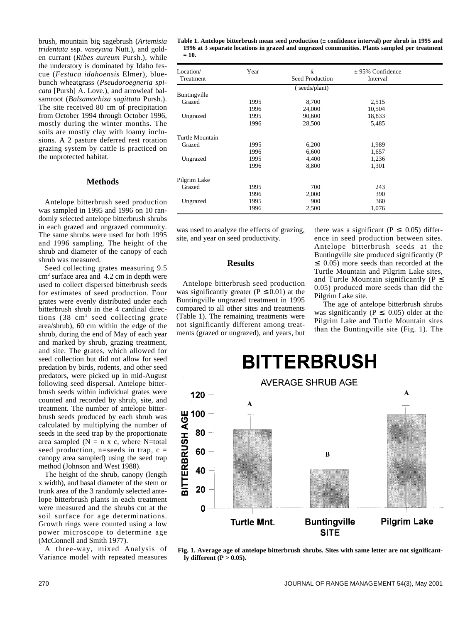brush, mountain big sagebrush (*Artemisia tridentata* ssp. *vaseyana* Nutt.), and golden currant (*Ribes aureum* Pursh.), while the understory is dominated by Idaho fescue (*Festuca idahoensis* Elmer), bluebunch wheatgrass (*Pseudoroegneria spicata* [Pursh] A. Love.), and arrowleaf balsamroot (*Balsamorhiza sagittata* Pursh.). The site received 80 cm of precipitation from October 1994 through October 1996, mostly during the winter months. The soils are mostly clay with loamy inclusions. A 2 pasture deferred rest rotation grazing system by cattle is practiced on the unprotected habitat.

# **Methods**

Antelope bitterbrush seed production was sampled in 1995 and 1996 on 10 randomly selected antelope bitterbrush shrubs in each grazed and ungrazed community. The same shrubs were used for both 1995 and 1996 sampling. The height of the shrub and diameter of the canopy of each shrub was measured.

Seed collecting grates measuring 9.5 cm2 surface area and 4.2 cm in depth were used to collect dispersed bitterbrush seeds for estimates of seed production. Four grates were evenly distributed under each bitterbrush shrub in the 4 cardinal directions  $(38 \text{ cm}^2 \text{ seed collecting gate})$ area/shrub), 60 cm within the edge of the shrub, during the end of May of each year and marked by shrub, grazing treatment, and site. The grates, which allowed for seed collection but did not allow for seed predation by birds, rodents, and other seed predators, were picked up in mid-August following seed dispersal. Antelope bitterbrush seeds within individual grates were counted and recorded by shrub, site, and treatment. The number of antelope bitterbrush seeds produced by each shrub was calculated by multiplying the number of seeds in the seed trap by the proportionate area sampled ( $N = n \times c$ , where N=total seed production,  $n=$ seeds in trap,  $c =$ canopy area sampled) using the seed trap method (Johnson and West 1988).

The height of the shrub, canopy (length x width), and basal diameter of the stem or trunk area of the 3 randomly selected antelope bitterbrush plants in each treatment were measured and the shrubs cut at the soil surface for age determinations. Growth rings were counted using a low power microscope to determine age (McConnell and Smith 1977).

A three-way, mixed Analysis of Variance model with repeated measures **Table 1. Antelope bitterbrush mean seed production (± confidence interval) per shrub in 1995 and 1996 at 3 separate locations in grazed and ungrazed communities. Plants sampled per treatment = 10.**

| Location/       | Year | $\overline{x}$  | $\pm$ 95% Confidence |  |
|-----------------|------|-----------------|----------------------|--|
| Treatment       |      | Seed Production | Interval             |  |
|                 |      | (seeds/plant)   |                      |  |
| Buntingville    |      |                 |                      |  |
| Grazed          | 1995 | 8,700           | 2,515                |  |
|                 | 1996 | 24,000          | 10,504               |  |
| Ungrazed        | 1995 | 90,600          | 18,833               |  |
|                 | 1996 | 28,500          | 5,485                |  |
| Turtle Mountain |      |                 |                      |  |
| Grazed          | 1995 | 6,200           | 1,989                |  |
|                 | 1996 | 6,600           | 1,657                |  |
| Ungrazed        | 1995 | 4,400           | 1,236                |  |
|                 | 1996 | 8,800           | 1,301                |  |
| Pilgrim Lake    |      |                 |                      |  |
| Grazed          | 1995 | 700             | 243                  |  |
|                 | 1996 | 2,000           | 390                  |  |
| Ungrazed        | 1995 | 900             | 360                  |  |
|                 | 1996 | 2,500           | 1,076                |  |

was used to analyze the effects of grazing, site, and year on seed productivity.

## **Results**

Antelope bitterbrush seed production was significantly greater ( $P \le 0.01$ ) at the Buntingville ungrazed treatment in 1995 compared to all other sites and treatments (Table 1). The remaining treatments were not significantly different among treatments (grazed or ungrazed), and years, but

there was a significant ( $P \leq 0.05$ ) difference in seed production between sites. Antelope bitterbrush seeds at the Buntingville site produced significantly (P ≤ 0.05) more seeds than recorded at the Turtle Mountain and Pilgrim Lake sites, and Turtle Mountain significantly ( $P \leq$ 0.05) produced more seeds than did the Pilgrim Lake site.

The age of antelope bitterbrush shrubs was significantly ( $P \leq 0.05$ ) older at the Pilgrim Lake and Turtle Mountain sites than the Buntingville site (Fig. 1). The



**Fig. 1. Average age of antelope bitterbrush shrubs. Sites with same letter are not significantly different (P > 0.05).**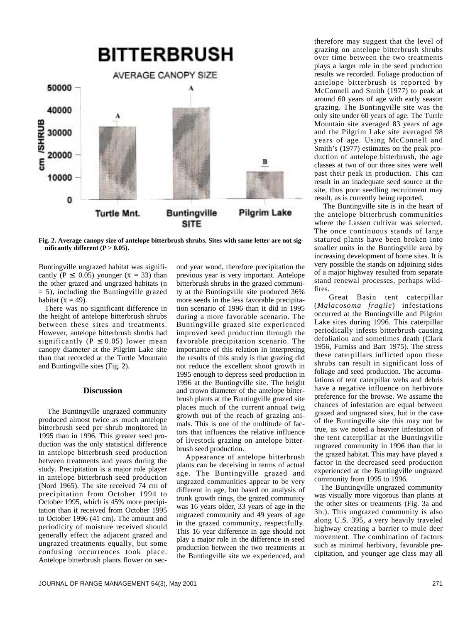

**Fig. 2. Average canopy size of antelope bitterbrush shrubs. Sites with same letter are not sig**nificantly different  $(P > 0.05)$ .

Buntingville ungrazed habitat was significantly (P  $\leq$  0.05) younger ( $\bar{x}$  = 33) than the other grazed and ungrazed habitats (n = 5), including the Buntingville grazed habitat ( $\bar{x} = 49$ ).

There was no significant difference in the height of antelope bitterbrush shrubs between these sites and treatments. However, antelope bitterbrush shrubs had significantly ( $\overline{P} \le 0.05$ ) lower mean canopy diameter at the Pilgrim Lake site than that recorded at the Turtle Mountain and Buntingville sites (Fig. 2).

## **Discussion**

The Buntingville ungrazed community produced almost twice as much antelope bitterbrush seed per shrub monitored in 1995 than in 1996. This greater seed production was the only statistical difference in antelope bitterbrush seed production between treatments and years during the study. Precipitation is a major role player in antelope bitterbrush seed production (Nord 1965). The site received 74 cm of precipitation from October 1994 to October 1995, which is 45% more precipitation than it received from October 1995 to October 1996 (41 cm). The amount and periodicity of moisture received should generally effect the adjacent grazed and ungrazed treatments equally, but some confusing occurrences took place. Antelope bitterbrush plants flower on sec-

ond year wood, therefore precipitation the previous year is very important. Antelope bitterbrush shrubs in the grazed community at the Buntingville site produced 36% more seeds in the less favorable precipitation scenario of 1996 than it did in 1995 during a more favorable scenario. The Buntingville grazed site experienced improved seed production through the favorable precipitation scenario. The importance of this relation in interpreting the results of this study is that grazing did not reduce the excellent shoot growth in 1995 enough to depress seed production in 1996 at the Buntingville site. The height and crown diameter of the antelope bitterbrush plants at the Buntingville grazed site places much of the current annual twig growth out of the reach of grazing animals. This is one of the multitude of factors that influences the relative influence of livestock grazing on antelope bitterbrush seed production.

Appearance of antelope bitterbrush plants can be deceiving in terms of actual age. The Buntingville grazed and ungrazed communities appear to be very different in age, but based on analysis of trunk growth rings, the grazed community was 16 years older, 33 years of age in the ungrazed community and 49 years of age in the grazed community, respectfully. This 16 year difference in age should not play a major role in the difference in seed production between the two treatments at the Buntingville site we experienced, and

therefore may suggest that the level of grazing on antelope bitterbrush shrubs over time between the two treatments plays a larger role in the seed production results we recorded. Foliage production of antelope bitterbrush is reported by McConnell and Smith (1977) to peak at around 60 years of age with early season grazing. The Buntingville site was the only site under 60 years of age. The Turtle Mountain site averaged 83 years of age and the Pilgrim Lake site averaged 98 years of age. Using McConnell and Smith's (1977) estimates on the peak production of antelope bitterbrush, the age classes at two of our three sites were well past their peak in production. This can result in an inadequate seed source at the site, thus poor seedling recruitment may result, as is currently being reported.

The Buntingville site is in the heart of the antelope bitterbrush communities where the Lassen cultivar was selected. The once continuous stands of large statured plants have been broken into smaller units in the Buntingville area by increasing development of home sites. It is very possible the stands on adjoining sides of a major highway resulted from separate stand renewal processes, perhaps wildfires.

Great Basin tent caterpillar (*Malacosoma fragile*) infestations occurred at the Buntingville and Pilgrim Lake sites during 1996. This caterpillar periodically infests bitterbrush causing defoliation and sometimes death (Clark 1956, Furniss and Barr 1975). The stress these caterpillars inflicted upon these shrubs can result in significant loss of foliage and seed production. The accumulations of tent caterpillar webs and debris have a negative influence on herbivore preference for the browse. We assume the chances of infestation are equal between grazed and ungrazed sites, but in the case of the Buntingville site this may not be true, as we noted a heavier infestation of the tent caterpillar at the Buntingville ungrazed community in 1996 than that in the grazed habitat. This may have played a factor in the decreased seed production experienced at the Buntingville ungrazed community from 1995 to 1996.

The Buntingville ungrazed community was visually more vigorous than plants at the other sites or treatments (Fig. 3a and 3b.). This ungrazed community is also along U.S. 395, a very heavily traveled highway creating a barrier to mule deer movement. The combination of factors such as minimal herbivory, favorable precipitation, and younger age class may all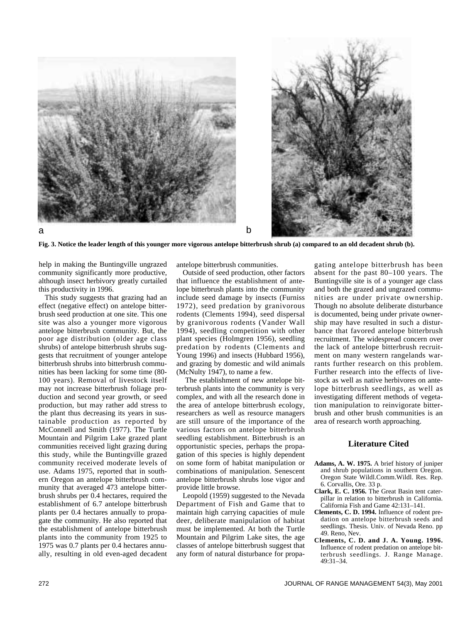

**Fig. 3. Notice the leader length of this younger more vigorous antelope bitterbrush shrub (a) compared to an old decadent shrub (b).**

help in making the Buntingville ungrazed community significantly more productive, although insect herbivory greatly curtailed this productivity in 1996.

This study suggests that grazing had an effect (negative effect) on antelope bitterbrush seed production at one site. This one site was also a younger more vigorous antelope bitterbrush community. But, the poor age distribution (older age class shrubs) of antelope bitterbrush shrubs suggests that recruitment of younger antelope bitterbrush shrubs into bitterbrush communities has been lacking for some time (80- 100 years). Removal of livestock itself may not increase bitterbrush foliage production and second year growth, or seed production, but may rather add stress to the plant thus decreasing its years in sustainable production as reported by McConnell and Smith (1977). The Turtle Mountain and Pilgrim Lake grazed plant communities received light grazing during this study, while the Buntingville grazed community received moderate levels of use. Adams 1975, reported that in southern Oregon an antelope bitterbrush community that averaged 473 antelope bitterbrush shrubs per 0.4 hectares, required the establishment of 6.7 antelope bitterbrush plants per 0.4 hectares annually to propagate the community. He also reported that the establishment of antelope bitterbrush plants into the community from 1925 to 1975 was 0.7 plants per 0.4 hectares annually, resulting in old even-aged decadent

antelope bitterbrush communities.

Outside of seed production, other factors that influence the establishment of antelope bitterbrush plants into the community include seed damage by insects (Furniss 1972), seed predation by granivorous rodents (Clements 1994), seed dispersal by granivorous rodents (Vander Wall 1994), seedling competition with other plant species (Holmgren 1956), seedling predation by rodents (Clements and Young 1996) and insects (Hubbard 1956), and grazing by domestic and wild animals (McNulty 1947), to name a few.

The establishment of new antelope bitterbrush plants into the community is very complex, and with all the research done in the area of antelope bitterbrush ecology, researchers as well as resource managers are still unsure of the importance of the various factors on antelope bitterbrush seedling establishment. Bitterbrush is an opportunistic species, perhaps the propagation of this species is highly dependent on some form of habitat manipulation or combinations of manipulation. Senescent antelope bitterbrush shrubs lose vigor and provide little browse.

Leopold (1959) suggested to the Nevada Department of Fish and Game that to maintain high carrying capacities of mule deer, deliberate manipulation of habitat must be implemented. At both the Turtle Mountain and Pilgrim Lake sites, the age classes of antelope bitterbrush suggest that any form of natural disturbance for propagating antelope bitterbrush has been absent for the past 80–100 years. The Buntingville site is of a younger age class and both the grazed and ungrazed communities are under private ownership. Though no absolute deliberate disturbance is documented, being under private ownership may have resulted in such a disturbance that favored antelope bitterbrush recruitment. The widespread concern over the lack of antelope bitterbrush recruitment on many western rangelands warrants further research on this problem. Further research into the effects of livestock as well as native herbivores on antelope bitterbrush seedlings, as well as investigating different methods of vegetation manipulation to reinvigorate bitterbrush and other brush communities is an area of research worth approaching.

## **Literature Cited**

- **Adams, A. W. 1975.** A brief history of juniper and shrub populations in southern Oregon. Oregon State Wildl.Comm.Wildl. Res. Rep. 6. Corvallis, Ore. 33 p.
- **Clark, E. C. 1956.** The Great Basin tent caterpillar in relation to bitterbrush in California. California Fish and Game 42:131–141.
- **Clements, C. D. 1994.** Influence of rodent predation on antelope bitterbrush seeds and seedlings. Thesis. Univ. of Nevada Reno. pp 49. Reno, Nev.
- **Clements, C. D. and J. A. Young. 1996.** Influence of rodent predation on antelope bitterbrush seedlings. J. Range Manage.  $49.31 - 34$